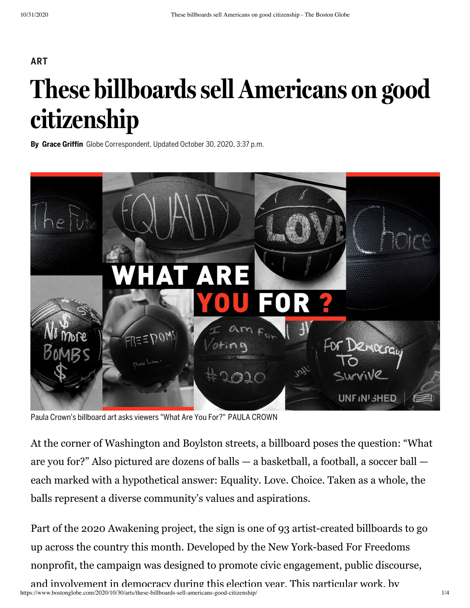## **ART These billboardssell Americans on good citizenship**

**By Grace Griffin** Globe Correspondent, Updated October 30, 2020, 3:37 p.m.



Paula Crown's billboard art asks viewers "What Are You For?" PAULA CROWN

At the corner of Washington and Boylston streets, a billboard poses the question: "What are you for?" Also pictured are dozens of balls — a basketball, a football, a soccer ball each marked with a hypothetical answer: Equality. Love. Choice. Taken as a whole, the balls represent a diverse community's values and aspirations.

https://www.bostonglobe.com/2020/10/30/arts/these-billboards-sell-americans-good-citizenship/ 1/4 Part of the 2020 Awakening project, the sign is one of 93 artist-created billboards to go up across the country this month. Developed by the New York-based For Freedoms nonprofit, the campaign was designed to promote civic engagement, public discourse, and involvement in democracy during this election year. This particular work, by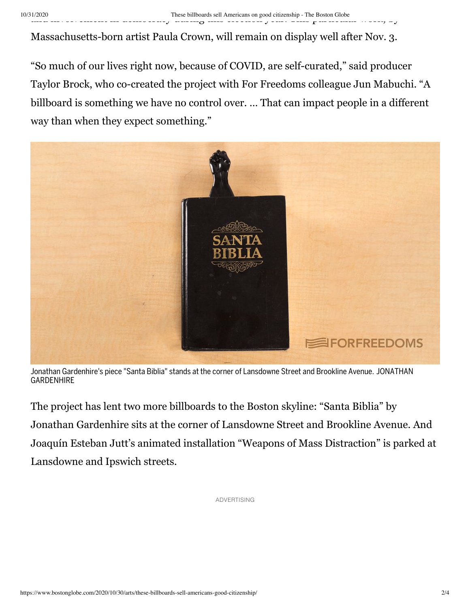Massachusetts-born artist Paula Crown, will remain on display well after Nov. 3.

"So much of our lives right now, because of COVID, are self-curated," said producer Taylor Brock, who co-created the project with For Freedoms colleague Jun Mabuchi. "A billboard is something we have no control over. … That can impact people in a different way than when they expect something."



Jonathan Gardenhire's piece "Santa Biblia" stands at the corner of Lansdowne Street and Brookline Avenue. JONATHAN GARDENHIRE

The project has lent two more billboards to the Boston skyline: "Santa Biblia" by Jonathan Gardenhire sits at the corner of Lansdowne Street and Brookline Avenue. And Joaquín Esteban Jutt's animated installation "Weapons of Mass Distraction" is parked at Lansdowne and Ipswich streets.

ADVERTISING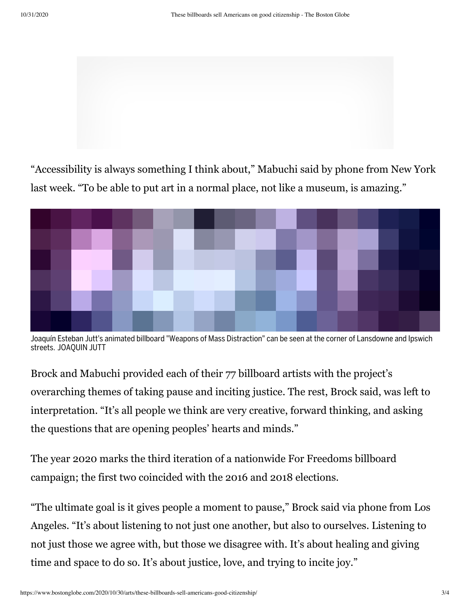

"Accessibility is always something I think about," Mabuchi said by phone from New York last week. "To be able to put art in a normal place, not like a museum, is amazing."



Joaquín Esteban Jutt's animated billboard "Weapons of Mass Distraction" can be seen at the corner of Lansdowne and Ipswich streets. JOAQUIN JUTT

Brock and Mabuchi provided each of their 77 billboard artists with the project's overarching themes of taking pause and inciting justice. The rest, Brock said, was left to interpretation. "It's all people we think are very creative, forward thinking, and asking the questions that are opening peoples' hearts and minds."

The year 2020 marks the third iteration of a nationwide For Freedoms billboard campaign; the first two coincided with the 2016 and 2018 elections.

"The ultimate goal is it gives people a moment to pause," Brock said via phone from Los Angeles. "It's about listening to not just one another, but also to ourselves. Listening to not just those we agree with, but those we disagree with. It's about healing and giving time and space to do so. It's about justice, love, and trying to incite joy."